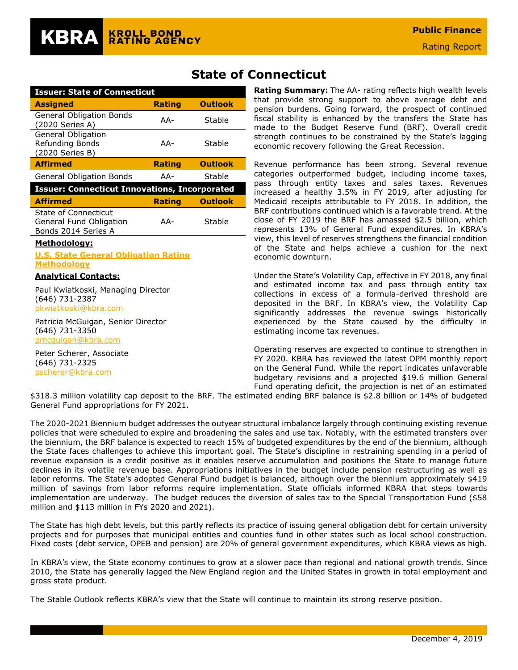| <b>Issuer: State of Connecticut</b>                                          |               |                |  |  |  |
|------------------------------------------------------------------------------|---------------|----------------|--|--|--|
| <b>Assigned</b>                                                              | <b>Rating</b> | <b>Outlook</b> |  |  |  |
| <b>General Obligation Bonds</b><br>(2020 Series A)                           | AA-           | Stable         |  |  |  |
| General Obligation<br>Refunding Bonds<br>(2020 Series B)                     | AA-           | Stable         |  |  |  |
| <b>Affirmed</b>                                                              | <b>Rating</b> | <b>Outlook</b> |  |  |  |
| <b>General Obligation Bonds</b>                                              | AA-           | Stable         |  |  |  |
| <b>Issuer: Connecticut Innovations, Incorporated</b>                         |               |                |  |  |  |
| <b>Affirmed</b>                                                              | <b>Rating</b> | <b>Outlook</b> |  |  |  |
| State of Connecticut<br>General Fund Obligation<br>Bonds 2014 Series A       | AA-           | Stable         |  |  |  |
| <u> Methodology:</u>                                                         |               |                |  |  |  |
| <b>U.S. State General Obligation Rating</b><br><b>Methodology</b>            |               |                |  |  |  |
| <u> Analytical Contacts:</u>                                                 |               |                |  |  |  |
| Paul Kwiatkoski, Managing Director<br>(646) 731-2387<br>pkwiatkoski@kbra.com |               |                |  |  |  |
| Patricia McGuigan, Senior Director                                           |               |                |  |  |  |

# (646) 731-3350 [pmcguigan@kbra.com](mailto:pmcguigan@kbra.com)

Peter Scherer, Associate (646) 731-2325 [pscherer@kbra.com](mailto:pscherer@kbra.com)

# **State of Connecticut**

**Rating Summary:** The AA- rating reflects high wealth levels that provide strong support to above average debt and pension burdens. Going forward, the prospect of continued fiscal stability is enhanced by the transfers the State has made to the Budget Reserve Fund (BRF). Overall credit strength continues to be constrained by the State's lagging economic recovery following the Great Recession.

Revenue performance has been strong. Several revenue categories outperformed budget, including income taxes, pass through entity taxes and sales taxes. Revenues increased a healthy 3.5% in FY 2019, after adjusting for Medicaid receipts attributable to FY 2018. In addition, the BRF contributions continued which is a favorable trend. At the close of FY 2019 the BRF has amassed \$2.5 billion, which represents 13% of General Fund expenditures. In KBRA's view, this level of reserves strengthens the financial condition of the State and helps achieve a cushion for the next economic downturn.

Under the State's Volatility Cap, effective in FY 2018, any final and estimated income tax and pass through entity tax collections in excess of a formula-derived threshold are deposited in the BRF. In KBRA's view, the Volatility Cap significantly addresses the revenue swings historically experienced by the State caused by the difficulty in estimating income tax revenues.

Operating reserves are expected to continue to strengthen in FY 2020. KBRA has reviewed the latest OPM monthly report on the General Fund. While the report indicates unfavorable budgetary revisions and a projected \$19.6 million General Fund operating deficit, the projection is net of an estimated

\$318.3 million volatility cap deposit to the BRF. The estimated ending BRF balance is \$2.8 billion or 14% of budgeted General Fund appropriations for FY 2021.

The 2020-2021 Biennium budget addresses the outyear structural imbalance largely through continuing existing revenue policies that were scheduled to expire and broadening the sales and use tax. Notably, with the estimated transfers over the biennium, the BRF balance is expected to reach 15% of budgeted expenditures by the end of the biennium, although the State faces challenges to achieve this important goal. The State's discipline in restraining spending in a period of revenue expansion is a credit positive as it enables reserve accumulation and positions the State to manage future declines in its volatile revenue base. Appropriations initiatives in the budget include pension restructuring as well as labor reforms. The State's adopted General Fund budget is balanced, although over the biennium approximately \$419 million of savings from labor reforms require implementation. State officials informed KBRA that steps towards implementation are underway. The budget reduces the diversion of sales tax to the Special Transportation Fund (\$58 million and \$113 million in FYs 2020 and 2021).

The State has high debt levels, but this partly reflects its practice of issuing general obligation debt for certain university projects and for purposes that municipal entities and counties fund in other states such as local school construction. Fixed costs (debt service, OPEB and pension) are 20% of general government expenditures, which KBRA views as high.

In KBRA's view, the State economy continues to grow at a slower pace than regional and national growth trends. Since 2010, the State has generally lagged the New England region and the United States in growth in total employment and gross state product.

The Stable Outlook reflects KBRA's view that the State will continue to maintain its strong reserve position.

**Public Finance**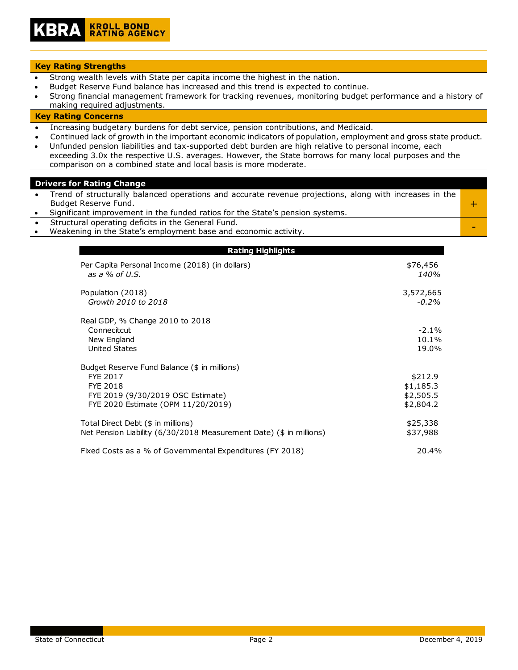#### **Key Rating Strengths**

- Strong wealth levels with State per capita income the highest in the nation.
- Budget Reserve Fund balance has increased and this trend is expected to continue.
- Strong financial management framework for tracking revenues, monitoring budget performance and a history of making required adjustments.

### **Key Rating Concerns**

- Increasing budgetary burdens for debt service, pension contributions, and Medicaid.
- Continued lack of growth in the important economic indicators of population, employment and gross state product.
- Unfunded pension liabilities and tax-supported debt burden are high relative to personal income, each exceeding 3.0x the respective U.S. averages. However, the State borrows for many local purposes and the comparison on a combined state and local basis is more moderate.

#### **Drivers for Rating Change**

| Trend of structurally balanced operations and accurate revenue projections, along with increases in the |  |
|---------------------------------------------------------------------------------------------------------|--|
| Budget Reserve Fund.                                                                                    |  |
| Significant improvement in the funded ratios for the State's pension systems.                           |  |
| Structural operating deficits in the General Fund.                                                      |  |

• Weakening in the State's employment base and economic activity.

| Rating Highlights                                                                                                                                      |                                                |  |  |  |
|--------------------------------------------------------------------------------------------------------------------------------------------------------|------------------------------------------------|--|--|--|
| Per Capita Personal Income (2018) (in dollars)<br>as a $%$ of U.S.                                                                                     | \$76,456<br>140%                               |  |  |  |
| Population (2018)<br>Growth 2010 to 2018                                                                                                               | 3,572,665<br>$-0.2\%$                          |  |  |  |
| Real GDP, % Change 2010 to 2018<br>Connecitcut<br>New England<br>United States                                                                         | $-2.1\%$<br>10.1%<br>19.0%                     |  |  |  |
| Budget Reserve Fund Balance (\$ in millions)<br>FYE 2017<br><b>FYE 2018</b><br>FYE 2019 (9/30/2019 OSC Estimate)<br>FYE 2020 Estimate (OPM 11/20/2019) | \$212.9<br>\$1,185.3<br>\$2,505.5<br>\$2,804.2 |  |  |  |
| Total Direct Debt (\$ in millions)<br>Net Pension Liability (6/30/2018 Measurement Date) (\$ in millions)                                              | \$25,338<br>\$37,988                           |  |  |  |
| Fixed Costs as a % of Governmental Expenditures (FY 2018)                                                                                              | 20.4%                                          |  |  |  |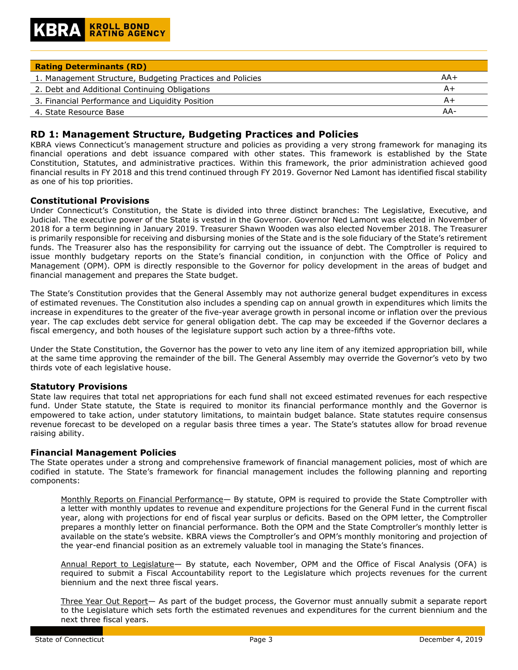| <b>Rating Determinants (RD)</b>                           |     |
|-----------------------------------------------------------|-----|
| 1. Management Structure, Budgeting Practices and Policies | AA+ |
| 2. Debt and Additional Continuing Obligations             | A+  |
| 3. Financial Performance and Liquidity Position           | A+  |
| 4. State Resource Base                                    | AA- |

# **RD 1: Management Structure, Budgeting Practices and Policies**

KBRA views Connecticut's management structure and policies as providing a very strong framework for managing its financial operations and debt issuance compared with other states. This framework is established by the State Constitution, Statutes, and administrative practices. Within this framework, the prior administration achieved good financial results in FY 2018 and this trend continued through FY 2019. Governor Ned Lamont has identified fiscal stability as one of his top priorities.

# **Constitutional Provisions**

Under Connecticut's Constitution, the State is divided into three distinct branches: The Legislative, Executive, and Judicial. The executive power of the State is vested in the Governor. Governor Ned Lamont was elected in November of 2018 for a term beginning in January 2019. Treasurer Shawn Wooden was also elected November 2018. The Treasurer is primarily responsible for receiving and disbursing monies of the State and is the sole fiduciary of the State's retirement funds. The Treasurer also has the responsibility for carrying out the issuance of debt. The Comptroller is required to issue monthly budgetary reports on the State's financial condition, in conjunction with the Office of Policy and Management (OPM). OPM is directly responsible to the Governor for policy development in the areas of budget and financial management and prepares the State budget.

The State's Constitution provides that the General Assembly may not authorize general budget expenditures in excess of estimated revenues. The Constitution also includes a spending cap on annual growth in expenditures which limits the increase in expenditures to the greater of the five-year average growth in personal income or inflation over the previous year. The cap excludes debt service for general obligation debt. The cap may be exceeded if the Governor declares a fiscal emergency, and both houses of the legislature support such action by a three-fifths vote.

Under the State Constitution, the Governor has the power to veto any line item of any itemized appropriation bill, while at the same time approving the remainder of the bill. The General Assembly may override the Governor's veto by two thirds vote of each legislative house.

# **Statutory Provisions**

State law requires that total net appropriations for each fund shall not exceed estimated revenues for each respective fund. Under State statute, the State is required to monitor its financial performance monthly and the Governor is empowered to take action, under statutory limitations, to maintain budget balance. State statutes require consensus revenue forecast to be developed on a regular basis three times a year. The State's statutes allow for broad revenue raising ability.

# **Financial Management Policies**

The State operates under a strong and comprehensive framework of financial management policies, most of which are codified in statute. The State's framework for financial management includes the following planning and reporting components:

Monthly Reports on Financial Performance — By statute, OPM is required to provide the State Comptroller with a letter with monthly updates to revenue and expenditure projections for the General Fund in the current fiscal year, along with projections for end of fiscal year surplus or deficits. Based on the OPM letter, the Comptroller prepares a monthly letter on financial performance. Both the OPM and the State Comptroller's monthly letter is available on the state's website. KBRA views the Comptroller's and OPM's monthly monitoring and projection of the year-end financial position as an extremely valuable tool in managing the State's finances.

Annual Report to Legislature— By statute, each November, OPM and the Office of Fiscal Analysis (OFA) is required to submit a Fiscal Accountability report to the Legislature which projects revenues for the current biennium and the next three fiscal years.

Three Year Out Report— As part of the budget process, the Governor must annually submit a separate report to the Legislature which sets forth the estimated revenues and expenditures for the current biennium and the next three fiscal years.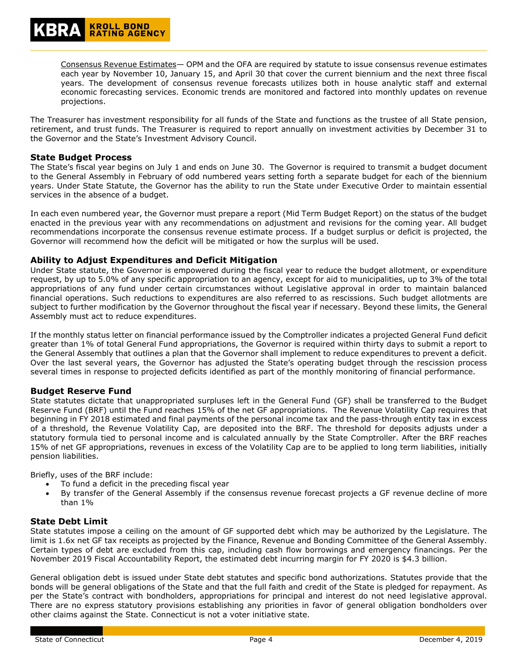Consensus Revenue Estimates— OPM and the OFA are required by statute to issue consensus revenue estimates each year by November 10, January 15, and April 30 that cover the current biennium and the next three fiscal years. The development of consensus revenue forecasts utilizes both in house analytic staff and external economic forecasting services. Economic trends are monitored and factored into monthly updates on revenue projections.

The Treasurer has investment responsibility for all funds of the State and functions as the trustee of all State pension, retirement, and trust funds. The Treasurer is required to report annually on investment activities by December 31 to the Governor and the State's Investment Advisory Council.

# **State Budget Process**

The State's fiscal year begins on July 1 and ends on June 30. The Governor is required to transmit a budget document to the General Assembly in February of odd numbered years setting forth a separate budget for each of the biennium years. Under State Statute, the Governor has the ability to run the State under Executive Order to maintain essential services in the absence of a budget.

In each even numbered year, the Governor must prepare a report (Mid Term Budget Report) on the status of the budget enacted in the previous year with any recommendations on adjustment and revisions for the coming year. All budget recommendations incorporate the consensus revenue estimate process. If a budget surplus or deficit is projected, the Governor will recommend how the deficit will be mitigated or how the surplus will be used.

# **Ability to Adjust Expenditures and Deficit Mitigation**

Under State statute, the Governor is empowered during the fiscal year to reduce the budget allotment, or expenditure request, by up to 5.0% of any specific appropriation to an agency, except for aid to municipalities, up to 3% of the total appropriations of any fund under certain circumstances without Legislative approval in order to maintain balanced financial operations. Such reductions to expenditures are also referred to as rescissions. Such budget allotments are subject to further modification by the Governor throughout the fiscal year if necessary. Beyond these limits, the General Assembly must act to reduce expenditures.

If the monthly status letter on financial performance issued by the Comptroller indicates a projected General Fund deficit greater than 1% of total General Fund appropriations, the Governor is required within thirty days to submit a report to the General Assembly that outlines a plan that the Governor shall implement to reduce expenditures to prevent a deficit. Over the last several years, the Governor has adjusted the State's operating budget through the rescission process several times in response to projected deficits identified as part of the monthly monitoring of financial performance.

# **Budget Reserve Fund**

State statutes dictate that unappropriated surpluses left in the General Fund (GF) shall be transferred to the Budget Reserve Fund (BRF) until the Fund reaches 15% of the net GF appropriations. The Revenue Volatility Cap requires that beginning in FY 2018 estimated and final payments of the personal income tax and the pass-through entity tax in excess of a threshold, the Revenue Volatility Cap, are deposited into the BRF. The threshold for deposits adjusts under a statutory formula tied to personal income and is calculated annually by the State Comptroller. After the BRF reaches 15% of net GF appropriations, revenues in excess of the Volatility Cap are to be applied to long term liabilities, initially pension liabilities.

Briefly, uses of the BRF include:

- To fund a deficit in the preceding fiscal year
- By transfer of the General Assembly if the consensus revenue forecast projects a GF revenue decline of more than 1%

# **State Debt Limit**

State statutes impose a ceiling on the amount of GF supported debt which may be authorized by the Legislature. The limit is 1.6x net GF tax receipts as projected by the Finance, Revenue and Bonding Committee of the General Assembly. Certain types of debt are excluded from this cap, including cash flow borrowings and emergency financings. Per the November 2019 Fiscal Accountability Report, the estimated debt incurring margin for FY 2020 is \$4.3 billion.

General obligation debt is issued under State debt statutes and specific bond authorizations. Statutes provide that the bonds will be general obligations of the State and that the full faith and credit of the State is pledged for repayment. As per the State's contract with bondholders, appropriations for principal and interest do not need legislative approval. There are no express statutory provisions establishing any priorities in favor of general obligation bondholders over other claims against the State. Connecticut is not a voter initiative state.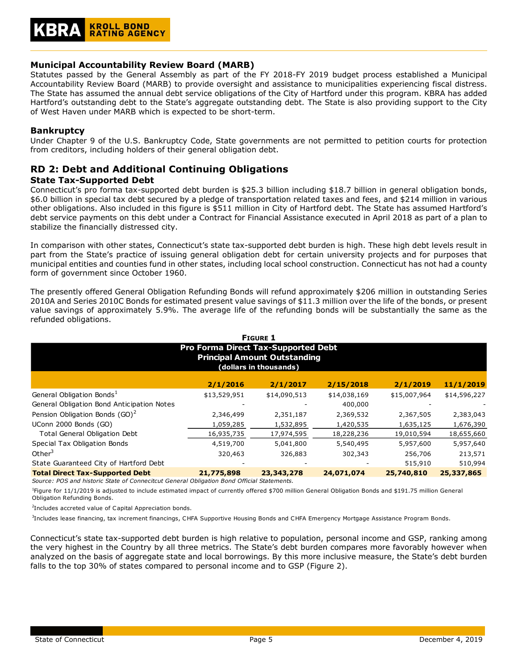# **Municipal Accountability Review Board (MARB)**

Statutes passed by the General Assembly as part of the FY 2018-FY 2019 budget process established a Municipal Accountability Review Board (MARB) to provide oversight and assistance to municipalities experiencing fiscal distress. The State has assumed the annual debt service obligations of the City of Hartford under this program. KBRA has added Hartford's outstanding debt to the State's aggregate outstanding debt. The State is also providing support to the City of West Haven under MARB which is expected to be short-term.

# **Bankruptcy**

Under Chapter 9 of the U.S. Bankruptcy Code, State governments are not permitted to petition courts for protection from creditors, including holders of their general obligation debt.

# **RD 2: Debt and Additional Continuing Obligations**

#### **State Tax-Supported Debt**

Connecticut's pro forma tax-supported debt burden is \$25.3 billion including \$18.7 billion in general obligation bonds, \$6.0 billion in special tax debt secured by a pledge of transportation related taxes and fees, and \$214 million in various other obligations. Also included in this figure is \$511 million in City of Hartford debt. The State has assumed Hartford's debt service payments on this debt under a Contract for Financial Assistance executed in April 2018 as part of a plan to stabilize the financially distressed city.

In comparison with other states, Connecticut's state tax-supported debt burden is high. These high debt levels result in part from the State's practice of issuing general obligation debt for certain university projects and for purposes that municipal entities and counties fund in other states, including local school construction. Connecticut has not had a county form of government since October 1960.

The presently offered General Obligation Refunding Bonds will refund approximately \$206 million in outstanding Series 2010A and Series 2010C Bonds for estimated present value savings of \$11.3 million over the life of the bonds, or present value savings of approximately 5.9%. The average life of the refunding bonds will be substantially the same as the refunded obligations.

| <b>FIGURE 1</b>                                                                                      |              |              |              |              |              |  |  |  |  |
|------------------------------------------------------------------------------------------------------|--------------|--------------|--------------|--------------|--------------|--|--|--|--|
| Pro Forma Direct Tax-Supported Debt<br><b>Principal Amount Outstanding</b><br>(dollars in thousands) |              |              |              |              |              |  |  |  |  |
|                                                                                                      | 2/1/2016     | 2/1/2017     | 2/15/2018    | 2/1/2019     | 11/1/2019    |  |  |  |  |
| General Obligation Bonds <sup>1</sup>                                                                | \$13,529,951 | \$14,090,513 | \$14,038,169 | \$15,007,964 | \$14,596,227 |  |  |  |  |
| General Obligation Bond Anticipation Notes                                                           |              |              | 400,000      |              |              |  |  |  |  |
| Pension Obligation Bonds (GO) <sup>2</sup>                                                           | 2,346,499    | 2,351,187    | 2,369,532    | 2,367,505    | 2,383,043    |  |  |  |  |
| UConn 2000 Bonds (GO)                                                                                | 1,059,285    | 1,532,895    | 1,420,535    | 1,635,125    | 1,676,390    |  |  |  |  |
| <b>Total General Obligation Debt</b>                                                                 | 16,935,735   | 17,974,595   | 18,228,236   | 19,010,594   | 18,655,660   |  |  |  |  |
| Special Tax Obligation Bonds                                                                         | 4,519,700    | 5,041,800    | 5,540,495    | 5,957,600    | 5,957,640    |  |  |  |  |
| Other <sup>3</sup>                                                                                   | 320,463      | 326,883      | 302,343      | 256,706      | 213,571      |  |  |  |  |
| State Guaranteed City of Hartford Debt                                                               |              |              |              | 515,910      | 510,994      |  |  |  |  |
| <b>Total Direct Tax-Supported Debt</b>                                                               | 21,775,898   | 23,343,278   | 24,071,074   | 25,740,810   | 25,337,865   |  |  |  |  |

*Source: POS and historic State of Connecitcut General Obligation Bond Official Statements.*

<sup>1</sup>Figure for 11/1/2019 is adjusted to include estimated impact of currently offered \$700 million General Obligation Bonds and \$191.75 million General Obligation Refunding Bonds.

<sup>2</sup>Includes accreted value of Capital Appreciation bonds.

3 Includes lease financing, tax increment financings, CHFA Supportive Housing Bonds and CHFA Emergency Mortgage Assistance Program Bonds.

Connecticut's state tax-supported debt burden is high relative to population, personal income and GSP, ranking among the very highest in the Country by all three metrics. The State's debt burden compares more favorably however when analyzed on the basis of aggregate state and local borrowings. By this more inclusive measure, the State's debt burden falls to the top 30% of states compared to personal income and to GSP (Figure 2).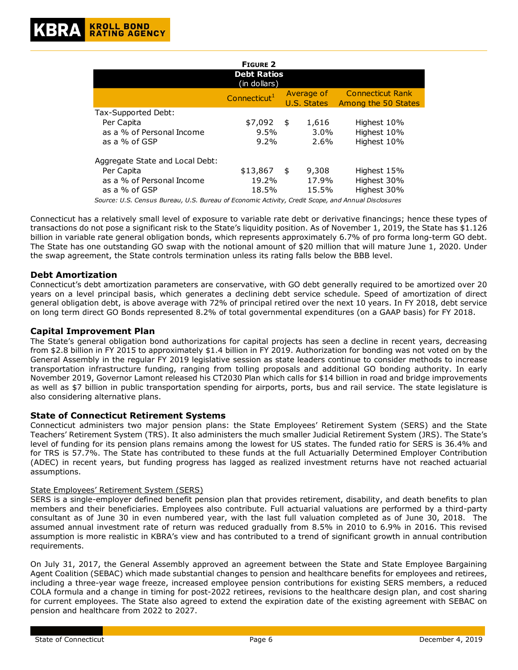|                                                                                             | <b>FIGURE 2</b>                    |                                   |                                           |
|---------------------------------------------------------------------------------------------|------------------------------------|-----------------------------------|-------------------------------------------|
|                                                                                             | <b>Debt Ratios</b><br>(in dollars) |                                   |                                           |
|                                                                                             | Connecticut <sup>1</sup>           | Average of<br>U.S. States         | Connecticut Rank<br>Among the 50 States   |
| Tax-Supported Debt:<br>Per Capita<br>as a % of Personal Income<br>as a % of GSP             | \$7,092<br>9.5%<br>9.2%            | \$<br>1,616<br>$3.0\%$<br>$2.6\%$ | Highest 10%<br>Highest 10%<br>Highest 10% |
| Aggregate State and Local Debt:<br>Per Capita<br>as a % of Personal Income<br>as a % of GSP | \$13,867<br>19.2%<br>18.5%         | \$<br>9,308<br>17.9%<br>15.5%     | Highest 15%<br>Highest 30%<br>Highest 30% |

*Source: U.S. Census Bureau, U.S. Bureau of Economic Activity, Credit Scope, and Annual Disclosures*

Connecticut has a relatively small level of exposure to variable rate debt or derivative financings; hence these types of transactions do not pose a significant risk to the State's liquidity position. As of November 1, 2019, the State has \$1.126 billion in variable rate general obligation bonds, which represents approximately 6.7% of pro forma long-term GO debt. The State has one outstanding GO swap with the notional amount of \$20 million that will mature June 1, 2020. Under the swap agreement, the State controls termination unless its rating falls below the BBB level.

# **Debt Amortization**

Connecticut's debt amortization parameters are conservative, with GO debt generally required to be amortized over 20 years on a level principal basis, which generates a declining debt service schedule. Speed of amortization of direct general obligation debt, is above average with 72% of principal retired over the next 10 years. In FY 2018, debt service on long term direct GO Bonds represented 8.2% of total governmental expenditures (on a GAAP basis) for FY 2018.

# **Capital Improvement Plan**

The State's general obligation bond authorizations for capital projects has seen a decline in recent years, decreasing from \$2.8 billion in FY 2015 to approximately \$1.4 billion in FY 2019. Authorization for bonding was not voted on by the General Assembly in the regular FY 2019 legislative session as state leaders continue to consider methods to increase transportation infrastructure funding, ranging from tolling proposals and additional GO bonding authority. In early November 2019, Governor Lamont released his CT2030 Plan which calls for \$14 billion in road and bridge improvements as well as \$7 billion in public transportation spending for airports, ports, bus and rail service. The state legislature is also considering alternative plans.

# **State of Connecticut Retirement Systems**

Connecticut administers two major pension plans: the State Employees' Retirement System (SERS) and the State Teachers' Retirement System (TRS). It also administers the much smaller Judicial Retirement System (JRS). The State's level of funding for its pension plans remains among the lowest for US states. The funded ratio for SERS is 36.4% and for TRS is 57.7%. The State has contributed to these funds at the full Actuarially Determined Employer Contribution (ADEC) in recent years, but funding progress has lagged as realized investment returns have not reached actuarial assumptions.

# State Employees' Retirement System (SERS)

SERS is a single-employer defined benefit pension plan that provides retirement, disability, and death benefits to plan members and their beneficiaries. Employees also contribute. Full actuarial valuations are performed by a third-party consultant as of June 30 in even numbered year, with the last full valuation completed as of June 30, 2018. The assumed annual investment rate of return was reduced gradually from 8.5% in 2010 to 6.9% in 2016. This revised assumption is more realistic in KBRA's view and has contributed to a trend of significant growth in annual contribution requirements.

On July 31, 2017, the General Assembly approved an agreement between the State and State Employee Bargaining Agent Coalition (SEBAC) which made substantial changes to pension and healthcare benefits for employees and retirees, including a three-year wage freeze, increased employee pension contributions for existing SERS members, a reduced COLA formula and a change in timing for post-2022 retirees, revisions to the healthcare design plan, and cost sharing for current employees. The State also agreed to extend the expiration date of the existing agreement with SEBAC on pension and healthcare from 2022 to 2027.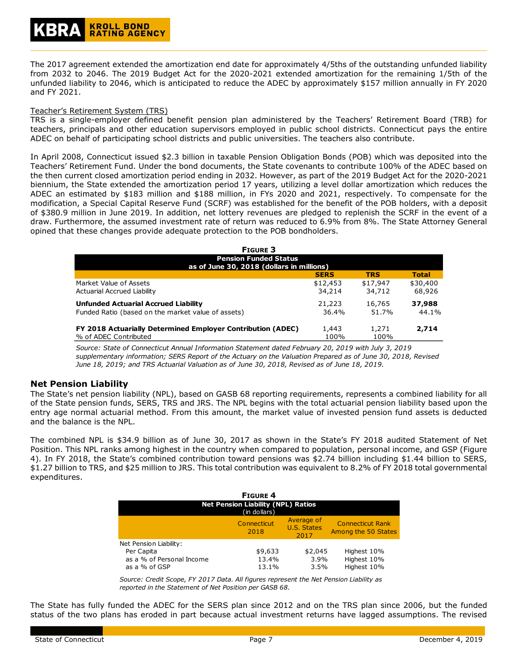The 2017 agreement extended the amortization end date for approximately 4/5ths of the outstanding unfunded liability from 2032 to 2046. The 2019 Budget Act for the 2020-2021 extended amortization for the remaining 1/5th of the unfunded liability to 2046, which is anticipated to reduce the ADEC by approximately \$157 million annually in FY 2020 and FY 2021.

#### Teacher's Retirement System (TRS)

TRS is a single-employer defined benefit pension plan administered by the Teachers' Retirement Board (TRB) for teachers, principals and other education supervisors employed in public school districts. Connecticut pays the entire ADEC on behalf of participating school districts and public universities. The teachers also contribute.

In April 2008, Connecticut issued \$2.3 billion in taxable Pension Obligation Bonds (POB) which was deposited into the Teachers' Retirement Fund. Under the bond documents, the State covenants to contribute 100% of the ADEC based on the then current closed amortization period ending in 2032. However, as part of the 2019 Budget Act for the 2020-2021 biennium, the State extended the amortization period 17 years, utilizing a level dollar amortization which reduces the ADEC an estimated by \$183 million and \$188 million, in FYs 2020 and 2021, respectively. To compensate for the modification, a Special Capital Reserve Fund (SCRF) was established for the benefit of the POB holders, with a deposit of \$380.9 million in June 2019. In addition, net lottery revenues are pledged to replenish the SCRF in the event of a draw. Furthermore, the assumed investment rate of return was reduced to 6.9% from 8%. The State Attorney General opined that these changes provide adequate protection to the POB bondholders.

| <b>FIGURE 3</b>                                                    |             |            |              |  |  |  |  |  |
|--------------------------------------------------------------------|-------------|------------|--------------|--|--|--|--|--|
| <b>Pension Funded Status</b>                                       |             |            |              |  |  |  |  |  |
| as of June 30, 2018 (dollars in millions)                          | <b>SERS</b> | <b>TRS</b> | <b>Total</b> |  |  |  |  |  |
| Market Value of Assets                                             | \$12,453    | \$17,947   | \$30,400     |  |  |  |  |  |
| <b>Actuarial Accrued Liability</b>                                 | 34,214      | 34,712     | 68,926       |  |  |  |  |  |
| <b>Unfunded Actuarial Accrued Liability</b>                        | 21,223      | 16,765     | 37,988       |  |  |  |  |  |
| Funded Ratio (based on the market value of assets)                 | 36.4%       | 51.7%      | 44.1%        |  |  |  |  |  |
| <b>FY 2018 Actuarially Determined Employer Contribution (ADEC)</b> | 1,443       | 1,271      | 2,714        |  |  |  |  |  |
| % of ADEC Contributed                                              | 100%        | 100%       |              |  |  |  |  |  |

*Source: State of Connecticut Annual Information Statement dated February 20, 2019 with July 3, 2019 supplementary information; SERS Report of the Actuary on the Valuation Prepared as of June 30, 2018, Revised June 18, 2019; and TRS Actuarial Valuation as of June 30, 2018, Revised as of June 18, 2019.*

# **Net Pension Liability**

The State's net pension liability (NPL), based on GASB 68 reporting requirements, represents a combined liability for all of the State pension funds, SERS, TRS and JRS. The NPL begins with the total actuarial pension liability based upon the entry age normal actuarial method. From this amount, the market value of invested pension fund assets is deducted and the balance is the NPL.

The combined NPL is \$34.9 billion as of June 30, 2017 as shown in the State's FY 2018 audited Statement of Net Position. This NPL ranks among highest in the country when compared to population, personal income, and GSP (Figure 4). In FY 2018, the State's combined contribution toward pensions was \$2.74 billion including \$1.44 billion to SERS, \$1.27 billion to TRS, and \$25 million to JRS. This total contribution was equivalent to 8.2% of FY 2018 total governmental expenditures.

| <b>FIGURE 4</b>                                           |                     |                                   |                                                |  |  |  |  |
|-----------------------------------------------------------|---------------------|-----------------------------------|------------------------------------------------|--|--|--|--|
| <b>Net Pension Liability (NPL) Ratios</b><br>(in dollars) |                     |                                   |                                                |  |  |  |  |
|                                                           | Connecticut<br>2018 | Average of<br>U.S. States<br>2017 | <b>Connecticut Rank</b><br>Among the 50 States |  |  |  |  |
| Net Pension Liability:                                    |                     |                                   |                                                |  |  |  |  |
| Per Capita                                                | \$9,633             | \$2,045                           | Highest 10%                                    |  |  |  |  |
| as a % of Personal Income                                 | 13.4%               | 3.9%                              | Highest 10%                                    |  |  |  |  |
| as a % of GSP                                             | 13.1%               | 3.5%                              | Highest 10%                                    |  |  |  |  |

*Source: Credit Scope, FY 2017 Data. All figures represent the Net Pension Liability as reported in the Statement of Net Position per GASB 68.*

The State has fully funded the ADEC for the SERS plan since 2012 and on the TRS plan since 2006, but the funded status of the two plans has eroded in part because actual investment returns have lagged assumptions. The revised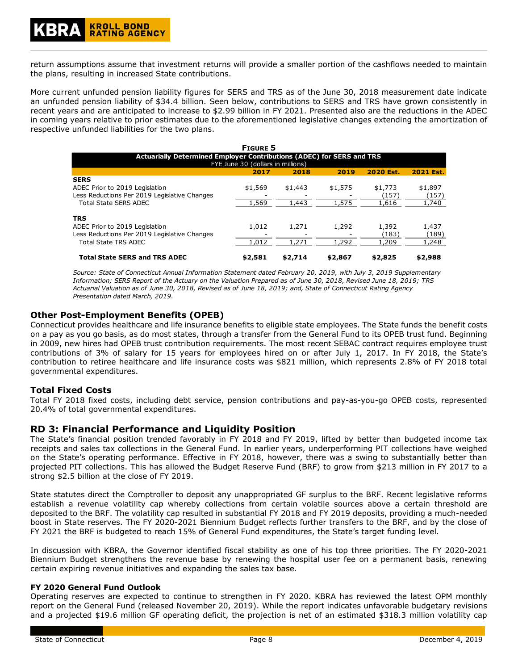return assumptions assume that investment returns will provide a smaller portion of the cashflows needed to maintain the plans, resulting in increased State contributions.

More current unfunded pension liability figures for SERS and TRS as of the June 30, 2018 measurement date indicate an unfunded pension liability of \$34.4 billion. Seen below, contributions to SERS and TRS have grown consistently in recent years and are anticipated to increase to \$2.99 billion in FY 2021. Presented also are the reductions in the ADEC in coming years relative to prior estimates due to the aforementioned legislative changes extending the amortization of respective unfunded liabilities for the two plans.

|                                                                                                                                                                                                                                                                                                                                                                                                                                                                                                                                                                                                                                                         | <b>FIGURE 5</b>                           |         |         |           |           |  |
|---------------------------------------------------------------------------------------------------------------------------------------------------------------------------------------------------------------------------------------------------------------------------------------------------------------------------------------------------------------------------------------------------------------------------------------------------------------------------------------------------------------------------------------------------------------------------------------------------------------------------------------------------------|-------------------------------------------|---------|---------|-----------|-----------|--|
| Actuarially Determined Employer Contributions (ADEC) for SERS and TRS                                                                                                                                                                                                                                                                                                                                                                                                                                                                                                                                                                                   |                                           |         |         |           |           |  |
|                                                                                                                                                                                                                                                                                                                                                                                                                                                                                                                                                                                                                                                         | FYE June 30 (dollars in millions)<br>2017 | 2018    | 2019    | 2020 Est. | 2021 Est. |  |
| <b>SERS</b>                                                                                                                                                                                                                                                                                                                                                                                                                                                                                                                                                                                                                                             |                                           |         |         |           |           |  |
| ADEC Prior to 2019 Legislation                                                                                                                                                                                                                                                                                                                                                                                                                                                                                                                                                                                                                          | \$1,569                                   | \$1,443 | \$1,575 | \$1,773   | \$1,897   |  |
| Less Reductions Per 2019 Legislative Changes                                                                                                                                                                                                                                                                                                                                                                                                                                                                                                                                                                                                            |                                           |         |         | (157)     | (157)     |  |
| <b>Total State SERS ADEC</b>                                                                                                                                                                                                                                                                                                                                                                                                                                                                                                                                                                                                                            | 1,569                                     | 1,443   | 1,575   | 1,616     | 1,740     |  |
| <b>TRS</b>                                                                                                                                                                                                                                                                                                                                                                                                                                                                                                                                                                                                                                              |                                           |         |         |           |           |  |
| ADEC Prior to 2019 Legislation                                                                                                                                                                                                                                                                                                                                                                                                                                                                                                                                                                                                                          | 1,012                                     | 1,271   | 1,292   | 1,392     | 1,437     |  |
| Less Reductions Per 2019 Legislative Changes                                                                                                                                                                                                                                                                                                                                                                                                                                                                                                                                                                                                            |                                           |         |         | (183)     | (189)     |  |
| <b>Total State TRS ADEC</b>                                                                                                                                                                                                                                                                                                                                                                                                                                                                                                                                                                                                                             | 1,012                                     | 1,271   | 1,292   | 1,209     | 1,248     |  |
| <b>Total State SERS and TRS ADEC</b>                                                                                                                                                                                                                                                                                                                                                                                                                                                                                                                                                                                                                    | \$2,581                                   | \$2,714 | \$2,867 | \$2,825   | \$2,988   |  |
| Information; SERS Report of the Actuary on the Valuation Prepared as of June 30, 2018, Revised June 18, 2019; TRS<br>Actuarial Valuation as of June 30, 2018, Revised as of June 18, 2019; and, State of Connecticut Rating Agency<br>Presentation dated March, 2019.<br><b>Other Post-Employment Benefits (OPEB)</b>                                                                                                                                                                                                                                                                                                                                   |                                           |         |         |           |           |  |
| Connecticut provides healthcare and life insurance benefits to eligible state employees. The State funds the benefit costs<br>on a pay as you go basis, as do most states, through a transfer from the General Fund to its OPEB trust fund. Beginning<br>in 2009, new hires had OPEB trust contribution requirements. The most recent SEBAC contract requires employee trust<br>contributions of 3% of salary for 15 years for employees hired on or after July 1, 2017. In FY 2018, the State's<br>contribution to retiree healthcare and life insurance costs was \$821 million, which represents 2.8% of FY 2018 total<br>governmental expenditures. |                                           |         |         |           |           |  |
| <b>Total Fixed Costs</b><br>Total FY 2018 fixed costs, including debt service, pension contributions and pay-as-you-go OPEB costs, represented<br>20.4% of total governmental expenditures.                                                                                                                                                                                                                                                                                                                                                                                                                                                             |                                           |         |         |           |           |  |
| <b>RD 3: Financial Performance and Liquidity Position</b><br>The State's financial position trended favorably in FY 2018 and FY 2019, lifted by better than budgeted income tax<br>receipts and sales tax collections in the General Fund. In earlier years, underperforming PIT collections have weighed<br>on the State's operating performance. Effective in FY 2018, however, there was a swing to substantially better than<br>projected PIT collections. This has allowed the Budget Reserve Fund (BRF) to grow from \$213 million in FY 2017 to a<br>strong \$2.5 billion at the close of FY 2019.                                               |                                           |         |         |           |           |  |
| State statutes direct the Comptroller to deposit any unappropriated GF surplus to the BRF. Recent legislative reforms<br>establish a revenue volatility cap whereby collections from certain volatile sources above a certain threshold are<br>deposited to the BRF. The volatility cap resulted in substantial FY 2018 and FY 2019 deposits, providing a much-needed<br>boost in State reserves. The FY 2020-2021 Biennium Budget reflects further transfers to the BRF, and by the close of<br>FY 2021 the BRF is budgeted to reach 15% of General Fund expenditures, the State's target funding level.                                               |                                           |         |         |           |           |  |
| In discussion with KBRA, the Governor identified fiscal stability as one of his top three priorities. The FY 2020-2021<br>Biennium Budget strengthens the revenue base by renewing the hospital user fee on a permanent basis, renewing<br>certain expiring revenue initiatives and expanding the sales tax base.                                                                                                                                                                                                                                                                                                                                       |                                           |         |         |           |           |  |
| FY 2020 General Fund Outlook<br>Operating reserves are expected to continue to strengthen in FY 2020. KBRA has reviewed the latest OPM monthly<br>report on the General Fund (released November 20, 2019). While the report indicates unfavorable budgetary revisions<br>and a projected \$19.6 million GF operating deficit, the projection is net of an estimated \$318.3 million volatility cap                                                                                                                                                                                                                                                      |                                           |         |         |           |           |  |

# **Other Post-Employment Benefits (OPEB)**

# **Total Fixed Costs**

# **RD 3: Financial Performance and Liquidity Position**

# **FY 2020 General Fund Outlook**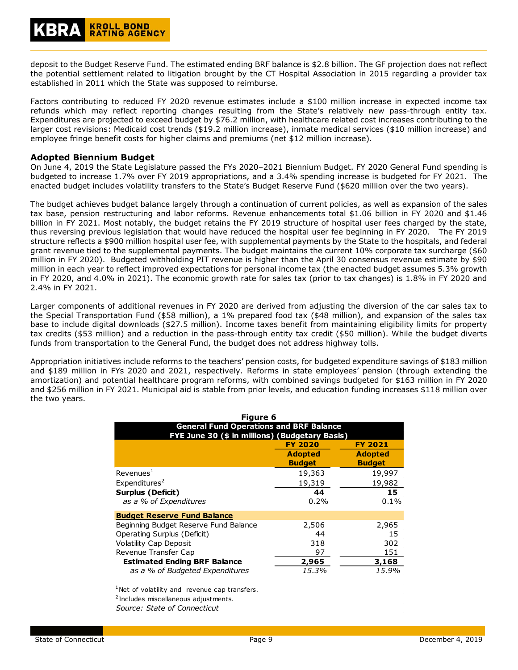deposit to the Budget Reserve Fund. The estimated ending BRF balance is \$2.8 billion. The GF projection does not reflect the potential settlement related to litigation brought by the CT Hospital Association in 2015 regarding a provider tax established in 2011 which the State was supposed to reimburse.

Factors contributing to reduced FY 2020 revenue estimates include a \$100 million increase in expected income tax refunds which may reflect reporting changes resulting from the State's relatively new pass-through entity tax. Expenditures are projected to exceed budget by \$76.2 million, with healthcare related cost increases contributing to the larger cost revisions: Medicaid cost trends (\$19.2 million increase), inmate medical services (\$10 million increase) and employee fringe benefit costs for higher claims and premiums (net \$12 million increase).

# **Adopted Biennium Budget**

On June 4, 2019 the State Legislature passed the FYs 2020–2021 Biennium Budget. FY 2020 General Fund spending is budgeted to increase 1.7% over FY 2019 appropriations, and a 3.4% spending increase is budgeted for FY 2021. The enacted budget includes volatility transfers to the State's Budget Reserve Fund (\$620 million over the two years).

The budget achieves budget balance largely through a continuation of current policies, as well as expansion of the sales tax base, pension restructuring and labor reforms. Revenue enhancements total \$1.06 billion in FY 2020 and \$1.46 billion in FY 2021. Most notably, the budget retains the FY 2019 structure of hospital user fees charged by the state, thus reversing previous legislation that would have reduced the hospital user fee beginning in FY 2020. The FY 2019 structure reflects a \$900 million hospital user fee, with supplemental payments by the State to the hospitals, and federal grant revenue tied to the supplemental payments. The budget maintains the current 10% corporate tax surcharge (\$60 million in FY 2020). Budgeted withholding PIT revenue is higher than the April 30 consensus revenue estimate by \$90 million in each year to reflect improved expectations for personal income tax (the enacted budget assumes 5.3% growth in FY 2020, and 4.0% in 2021). The economic growth rate for sales tax (prior to tax changes) is 1.8% in FY 2020 and 2.4% in FY 2021.

Larger components of additional revenues in FY 2020 are derived from adjusting the diversion of the car sales tax to the Special Transportation Fund (\$58 million), a 1% prepared food tax (\$48 million), and expansion of the sales tax base to include digital downloads (\$27.5 million). Income taxes benefit from maintaining eligibility limits for property tax credits (\$53 million) and a reduction in the pass-through entity tax credit (\$50 million). While the budget diverts funds from transportation to the General Fund, the budget does not address highway tolls.

Appropriation initiatives include reforms to the teachers' pension costs, for budgeted expenditure savings of \$183 million and \$189 million in FYs 2020 and 2021, respectively. Reforms in state employees' pension (through extending the amortization) and potential healthcare program reforms, with combined savings budgeted for \$163 million in FY 2020 and \$256 million in FY 2021. Municipal aid is stable from prior levels, and education funding increases \$118 million over the two years.

| <b>Figure 6</b>                                |                |                |  |  |  |  |  |
|------------------------------------------------|----------------|----------------|--|--|--|--|--|
| <b>General Fund Operations and BRF Balance</b> |                |                |  |  |  |  |  |
| FYE June 30 (\$ in millions) (Budgetary Basis) |                |                |  |  |  |  |  |
|                                                | <b>FY 2020</b> | <b>FY 2021</b> |  |  |  |  |  |
|                                                | <b>Adopted</b> | <b>Adopted</b> |  |  |  |  |  |
|                                                | <b>Budget</b>  | <b>Budget</b>  |  |  |  |  |  |
| Revenues <sup>1</sup>                          | 19,363         | 19,997         |  |  |  |  |  |
| Expenditures <sup>2</sup>                      | 19,319         | 19,982         |  |  |  |  |  |
| <b>Surplus (Deficit)</b>                       | 44             | 15             |  |  |  |  |  |
| as a % of Expenditures                         | 0.2%           | $0.1\%$        |  |  |  |  |  |
| <b>Budget Reserve Fund Balance</b>             |                |                |  |  |  |  |  |
| Beginning Budget Reserve Fund Balance          | 2,506          | 2,965          |  |  |  |  |  |
| Operating Surplus (Deficit)                    | 44             | 15             |  |  |  |  |  |
| <b>Volatility Cap Deposit</b>                  | 318            | 302            |  |  |  |  |  |
| Revenue Transfer Cap                           | 97             | 151            |  |  |  |  |  |
| <b>Estimated Ending BRF Balance</b>            | 2,965          | 3,168          |  |  |  |  |  |
| as a % of Budgeted Expenditures                | 15.3%          | 15.9%          |  |  |  |  |  |

 $1$ Net of volatility and revenue cap transfers. <sup>2</sup>Includes miscellaneous adjustments. *Source: State of Connecticut*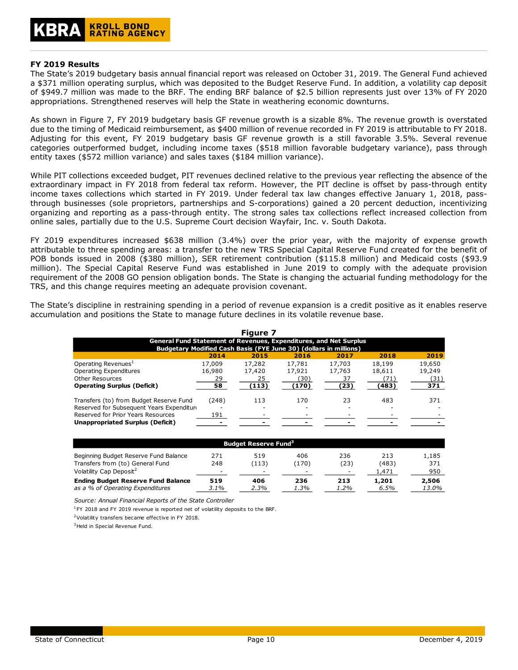#### **FY 2019 Results**

The State's 2019 budgetary basis annual financial report was released on October 31, 2019. The General Fund achieved a \$371 million operating surplus, which was deposited to the Budget Reserve Fund. In addition, a volatility cap deposit of \$949.7 million was made to the BRF. The ending BRF balance of \$2.5 billion represents just over 13% of FY 2020 appropriations. Strengthened reserves will help the State in weathering economic downturns.

As shown in Figure 7, FY 2019 budgetary basis GF revenue growth is a sizable 8%. The revenue growth is overstated due to the timing of Medicaid reimbursement, as \$400 million of revenue recorded in FY 2019 is attributable to FY 2018. Adjusting for this event, FY 2019 budgetary basis GF revenue growth is a still favorable 3.5%. Several revenue categories outperformed budget, including income taxes (\$518 million favorable budgetary variance), pass through entity taxes (\$572 million variance) and sales taxes (\$184 million variance).

While PIT collections exceeded budget, PIT revenues declined relative to the previous year reflecting the absence of the extraordinary impact in FY 2018 from federal tax reform. However, the PIT decline is offset by pass-through entity income taxes collections which started in FY 2019. Under federal tax law changes effective January 1, 2018, passthrough businesses (sole proprietors, partnerships and S-corporations) gained a 20 percent deduction, incentivizing organizing and reporting as a pass-through entity. The strong sales tax collections reflect increased collection from online sales, partially due to the U.S. Supreme Court decision Wayfair, Inc. v. South Dakota.

FY 2019 expenditures increased \$638 million (3.4%) over the prior year, with the majority of expense growth attributable to three spending areas: a transfer to the new TRS Special Capital Reserve Fund created for the benefit of POB bonds issued in 2008 (\$380 million), SER retirement contribution (\$115.8 million) and Medicaid costs (\$93.9 million). The Special Capital Reserve Fund was established in June 2019 to comply with the adequate provision requirement of the 2008 GO pension obligation bonds. The State is changing the actuarial funding methodology for the TRS, and this change requires meeting an adequate provision covenant.

The State's discipline in restraining spending in a period of revenue expansion is a credit positive as it enables reserve accumulation and positions the State to manage future declines in its volatile revenue base.

| Figure 7                                                                                                                                      |        |        |        |        |        |        |  |  |
|-----------------------------------------------------------------------------------------------------------------------------------------------|--------|--------|--------|--------|--------|--------|--|--|
| <b>General Fund Statement of Revenues, Expenditures, and Net Surplus</b><br>Budgetary Modified Cash Basis (FYE June 30) (dollars in millions) |        |        |        |        |        |        |  |  |
|                                                                                                                                               | 2014   | 2015   | 2016   | 2017   | 2018   | 2019   |  |  |
| Operating Revenues <sup>1</sup>                                                                                                               | 17,009 | 17,282 | 17.781 | 17,703 | 18,199 | 19,650 |  |  |
| Operating Expenditures                                                                                                                        | 16,980 | 17,420 | 17,921 | 17,763 | 18,611 | 19,249 |  |  |
| <b>Other Resources</b>                                                                                                                        | 29     | 25     | (30    | 37     | 71)    | (31)   |  |  |
| <b>Operating Surplus (Deficit)</b>                                                                                                            | 58     | (113)  | (170)  | (23)   | (483)  | 371    |  |  |
| Transfers (to) from Budget Reserve Fund                                                                                                       | (248)  | 113    | 170    | 23     | 483    | 371    |  |  |
| Reserved for Subsequent Years Expenditure                                                                                                     |        |        |        |        |        |        |  |  |
| Reserved for Prior Years Resources                                                                                                            | 191    |        |        |        |        |        |  |  |
| <b>Unappropriated Surplus (Deficit)</b>                                                                                                       |        |        |        |        |        |        |  |  |

| <b>Budget Reserve Fund</b> <sup>3</sup>   |      |                          |      |                          |       |       |  |
|-------------------------------------------|------|--------------------------|------|--------------------------|-------|-------|--|
| Beginning Budget Reserve Fund Balance     | 271  | 519                      | 406  | 236                      | 213   | 1,185 |  |
| Transfers from (to) General Fund          | 248  | (113)                    | (170 | (23)                     | (483) | 371   |  |
| Volatility Cap Deposit <sup>2</sup>       | -    | $\overline{\phantom{a}}$ | -    | $\overline{\phantom{a}}$ | 1.471 | 950   |  |
| <b>Ending Budget Reserve Fund Balance</b> | 519  | 406                      | 236  | 213                      | 1,201 | 2,506 |  |
| as a % of Operating Expenditures          | 3.1% | 2.3%                     | 1.3% | 1.2%                     | 6.5%  | 13.0% |  |

*Source: Annual Financial Reports of the State Controller*

 $1$ FY 2018 and FY 2019 revenue is reported net of volatility deposits to the BRF.

<sup>2</sup>Volatility transfers became effective in FY 2018.

<sup>3</sup> Held in Special Revenue Fund.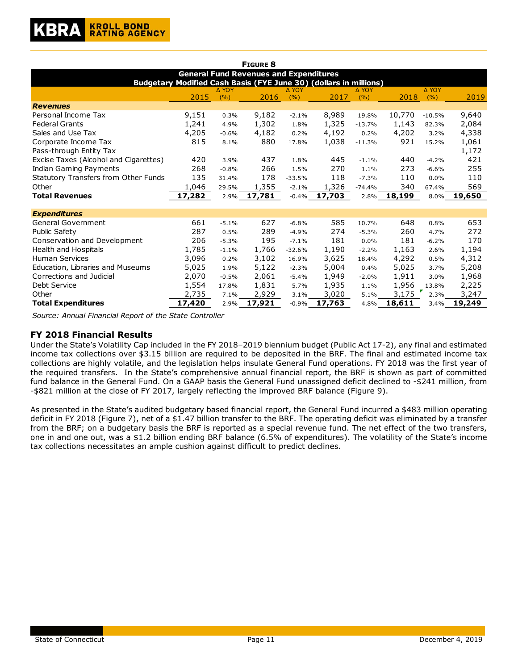|                                       |                                                                   |              | <b>FIGURE 8</b>                               |              |        |              |        |              |        |
|---------------------------------------|-------------------------------------------------------------------|--------------|-----------------------------------------------|--------------|--------|--------------|--------|--------------|--------|
|                                       |                                                                   |              | <b>General Fund Revenues and Expenditures</b> |              |        |              |        |              |        |
|                                       | Budgetary Modified Cash Basis (FYE June 30) (dollars in millions) |              |                                               |              |        |              |        |              |        |
|                                       |                                                                   | <b>A YOY</b> |                                               | <b>A YOY</b> |        | <b>A YOY</b> |        | <b>A YOY</b> |        |
|                                       | 2015                                                              | (9/6)        | 2016                                          | (%)          | 2017   | (9/6)        | 2018   | (9/6)        | 2019   |
| <b>Revenues</b>                       |                                                                   |              |                                               |              |        |              |        |              |        |
| Personal Income Tax                   | 9,151                                                             | 0.3%         | 9,182                                         | $-2.1%$      | 8,989  | 19.8%        | 10,770 | $-10.5%$     | 9,640  |
| <b>Federal Grants</b>                 | 1,241                                                             | 4.9%         | 1,302                                         | 1.8%         | 1,325  | $-13.7%$     | 1,143  | 82.3%        | 2,084  |
| Sales and Use Tax                     | 4,205                                                             | $-0.6%$      | 4,182                                         | 0.2%         | 4,192  | 0.2%         | 4,202  | 3.2%         | 4,338  |
| Corporate Income Tax                  | 815                                                               | 8.1%         | 880                                           | 17.8%        | 1,038  | $-11.3%$     | 921    | 15.2%        | 1,061  |
| Pass-through Entity Tax               |                                                                   |              |                                               |              |        |              |        |              | 1,172  |
| Excise Taxes (Alcohol and Cigarettes) | 420                                                               | 3.9%         | 437                                           | 1.8%         | 445    | $-1.1%$      | 440    | $-4.2%$      | 421    |
| Indian Gaming Payments                | 268                                                               | $-0.8%$      | 266                                           | 1.5%         | 270    | 1.1%         | 273    | $-6.6%$      | 255    |
| Statutory Transfers from Other Funds  | 135                                                               | 31.4%        | 178                                           | $-33.5%$     | 118    | $-7.3%$      | 110    | 0.0%         | 110    |
| Other                                 | 1,046                                                             | 29.5%        | 1,355                                         | $-2.1%$      | 1,326  | $-74.4%$     | 340    | 67.4%        | 569    |
| <b>Total Revenues</b>                 | 17,282                                                            | 2.9%         | 17,781                                        | $-0.4%$      | 17,703 | 2.8%         | 18,199 | 8.0%         | 19,650 |
|                                       |                                                                   |              |                                               |              |        |              |        |              |        |
| <b>Expenditures</b>                   |                                                                   |              |                                               |              |        |              |        |              |        |
| General Government                    | 661                                                               | $-5.1%$      | 627                                           | $-6.8%$      | 585    | 10.7%        | 648    | 0.8%         | 653    |
| <b>Public Safety</b>                  | 287                                                               | 0.5%         | 289                                           | $-4.9%$      | 274    | $-5.3%$      | 260    | 4.7%         | 272    |
| Conservation and Development          | 206                                                               | $-5.3%$      | 195                                           | $-7.1%$      | 181    | 0.0%         | 181    | $-6.2%$      | 170    |
| Health and Hospitals                  | 1,785                                                             | $-1.1%$      | 1,766                                         | $-32.6%$     | 1,190  | $-2.2%$      | 1,163  | 2.6%         | 1,194  |
| <b>Human Services</b>                 | 3,096                                                             | 0.2%         | 3,102                                         | 16.9%        | 3,625  | 18.4%        | 4,292  | 0.5%         | 4,312  |
| Education, Libraries and Museums      | 5,025                                                             | 1.9%         | 5,122                                         | $-2.3%$      | 5,004  | 0.4%         | 5,025  | 3.7%         | 5,208  |
| Corrections and Judicial              | 2,070                                                             | $-0.5%$      | 2,061                                         | $-5.4%$      | 1,949  | $-2.0%$      | 1,911  | 3.0%         | 1,968  |
| Debt Service                          | 1,554                                                             | 17.8%        | 1,831                                         | 5.7%         | 1,935  | 1.1%         | 1,956  | 13.8%        | 2,225  |
| Other                                 | 2,735                                                             | 7.1%         | 2,929                                         | 3.1%         | 3,020  | 5.1%         | 3,175  | 2.3%         | 3,247  |
| <b>Total Expenditures</b>             | 17,420                                                            | 2.9%         | 17,921                                        | $-0.9%$      | 17,763 | 4.8%         | 18,611 | 3.4%         | 19,249 |

*Source: Annual Financial Report of the State Controller*

# **FY 2018 Financial Results**

Under the State's Volatility Cap included in the FY 2018–2019 biennium budget (Public Act 17-2), any final and estimated income tax collections over \$3.15 billion are required to be deposited in the BRF. The final and estimated income tax collections are highly volatile, and the legislation helps insulate General Fund operations. FY 2018 was the first year of the required transfers. In the State's comprehensive annual financial report, the BRF is shown as part of committed fund balance in the General Fund. On a GAAP basis the General Fund unassigned deficit declined to -\$241 million, from -\$821 million at the close of FY 2017, largely reflecting the improved BRF balance (Figure 9).

As presented in the State's audited budgetary based financial report, the General Fund incurred a \$483 million operating deficit in FY 2018 (Figure 7), net of a \$1.47 billion transfer to the BRF. The operating deficit was eliminated by a transfer from the BRF; on a budgetary basis the BRF is reported as a special revenue fund. The net effect of the two transfers, one in and one out, was a \$1.2 billion ending BRF balance (6.5% of expenditures). The volatility of the State's income tax collections necessitates an ample cushion against difficult to predict declines.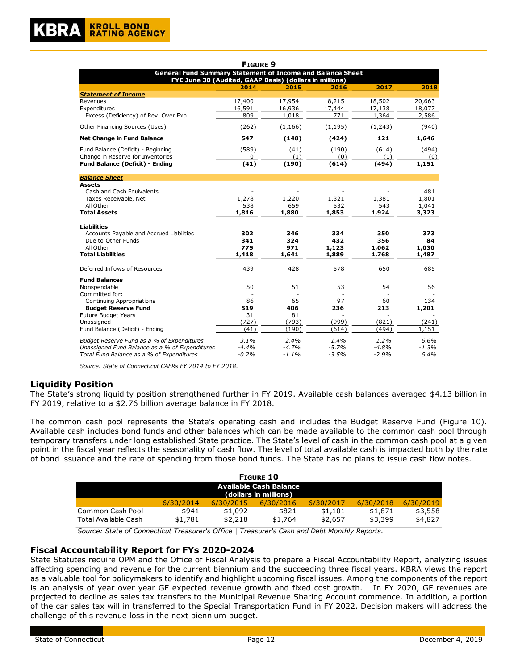|                           |                                                                                                                                                                                                                                                                                                                                                                                                                                                                                                                                                                                                                                                                                                                                                | <b>FIGURE 9</b>                                                                                                              |                  |                    |                    |                    |
|---------------------------|------------------------------------------------------------------------------------------------------------------------------------------------------------------------------------------------------------------------------------------------------------------------------------------------------------------------------------------------------------------------------------------------------------------------------------------------------------------------------------------------------------------------------------------------------------------------------------------------------------------------------------------------------------------------------------------------------------------------------------------------|------------------------------------------------------------------------------------------------------------------------------|------------------|--------------------|--------------------|--------------------|
|                           |                                                                                                                                                                                                                                                                                                                                                                                                                                                                                                                                                                                                                                                                                                                                                | <b>General Fund Summary Statement of Income and Balance Sheet</b><br>FYE June 30 (Audited, GAAP Basis) (dollars in millions) |                  |                    |                    |                    |
|                           |                                                                                                                                                                                                                                                                                                                                                                                                                                                                                                                                                                                                                                                                                                                                                | 2014                                                                                                                         | 2015             | 2016               | 2017               | 2018               |
|                           | <b>Statement of Income</b><br>Revenues                                                                                                                                                                                                                                                                                                                                                                                                                                                                                                                                                                                                                                                                                                         | 17,400                                                                                                                       | 17,954           | 18,215             | 18,502             | 20,663             |
|                           | Expenditures<br>Excess (Deficiency) of Rev. Over Exp.                                                                                                                                                                                                                                                                                                                                                                                                                                                                                                                                                                                                                                                                                          | 16,591<br>809                                                                                                                | 16,936<br>1,018  | 17,444<br>771      | 17,138<br>1,364    | 18,077<br>2,586    |
|                           | Other Financing Sources (Uses)                                                                                                                                                                                                                                                                                                                                                                                                                                                                                                                                                                                                                                                                                                                 | (262)                                                                                                                        | (1, 166)         | (1, 195)           | (1,243)            | (940)              |
|                           | <b>Net Change in Fund Balance</b>                                                                                                                                                                                                                                                                                                                                                                                                                                                                                                                                                                                                                                                                                                              | 547                                                                                                                          | (148)            | (424)              | 121                | 1,646              |
|                           | Fund Balance (Deficit) - Beginning                                                                                                                                                                                                                                                                                                                                                                                                                                                                                                                                                                                                                                                                                                             | (589)                                                                                                                        | (41)             | (190)              | (614)              | (494)              |
|                           | Change in Reserve for Inventories<br>Fund Balance (Deficit) - Ending                                                                                                                                                                                                                                                                                                                                                                                                                                                                                                                                                                                                                                                                           | 0<br>(41)                                                                                                                    | (1)<br>(190)     | (0)<br>(614)       | (1)<br>(494)       | (0)<br>1,151       |
|                           | <b>Balance Sheet</b>                                                                                                                                                                                                                                                                                                                                                                                                                                                                                                                                                                                                                                                                                                                           |                                                                                                                              |                  |                    |                    |                    |
|                           | <b>Assets</b><br>Cash and Cash Equivalents                                                                                                                                                                                                                                                                                                                                                                                                                                                                                                                                                                                                                                                                                                     |                                                                                                                              |                  |                    |                    | 481                |
|                           | Taxes Receivable, Net                                                                                                                                                                                                                                                                                                                                                                                                                                                                                                                                                                                                                                                                                                                          | 1,278                                                                                                                        | 1,220            | 1,321              | 1,381              | 1,801              |
|                           | All Other<br><b>Total Assets</b>                                                                                                                                                                                                                                                                                                                                                                                                                                                                                                                                                                                                                                                                                                               | 538<br>1,816                                                                                                                 | 659<br>1,880     | 532<br>1,853       | 543<br>1,924       | 1,041<br>3,323     |
|                           |                                                                                                                                                                                                                                                                                                                                                                                                                                                                                                                                                                                                                                                                                                                                                |                                                                                                                              |                  |                    |                    |                    |
|                           | <b>Liabilities</b><br>Accounts Payable and Accrued Liabilities                                                                                                                                                                                                                                                                                                                                                                                                                                                                                                                                                                                                                                                                                 | 302                                                                                                                          | 346              | 334                | 350                | 373                |
|                           | Due to Other Funds                                                                                                                                                                                                                                                                                                                                                                                                                                                                                                                                                                                                                                                                                                                             | 341                                                                                                                          | 324              | 432                | 356                | 84                 |
|                           | All Other<br><b>Total Liabilities</b>                                                                                                                                                                                                                                                                                                                                                                                                                                                                                                                                                                                                                                                                                                          | 775<br>1,418                                                                                                                 | 971<br>1,641     | 1,123<br>1,889     | 1,062<br>1,768     | 1,030<br>1,487     |
|                           |                                                                                                                                                                                                                                                                                                                                                                                                                                                                                                                                                                                                                                                                                                                                                |                                                                                                                              |                  |                    |                    |                    |
|                           | Deferred Inflows of Resources                                                                                                                                                                                                                                                                                                                                                                                                                                                                                                                                                                                                                                                                                                                  | 439                                                                                                                          | 428              | 578                | 650                | 685                |
|                           | <b>Fund Balances</b><br>Nonspendable                                                                                                                                                                                                                                                                                                                                                                                                                                                                                                                                                                                                                                                                                                           | 50                                                                                                                           | 51               | 53                 | 54                 | 56                 |
|                           | Committed for:                                                                                                                                                                                                                                                                                                                                                                                                                                                                                                                                                                                                                                                                                                                                 |                                                                                                                              |                  |                    |                    |                    |
|                           | Continuing Appropriations                                                                                                                                                                                                                                                                                                                                                                                                                                                                                                                                                                                                                                                                                                                      | 86                                                                                                                           | 65               | 97                 | 60                 | 134                |
|                           | <b>Budget Reserve Fund</b><br><b>Future Budget Years</b>                                                                                                                                                                                                                                                                                                                                                                                                                                                                                                                                                                                                                                                                                       | 519<br>31                                                                                                                    | 406<br>81        | 236                | 213                | 1,201              |
|                           | Unassigned                                                                                                                                                                                                                                                                                                                                                                                                                                                                                                                                                                                                                                                                                                                                     | (727)                                                                                                                        | (793)            | (999)              | (821)              | (241)              |
|                           | Fund Balance (Deficit) - Ending                                                                                                                                                                                                                                                                                                                                                                                                                                                                                                                                                                                                                                                                                                                | (41)                                                                                                                         | (190)            | (614)              | (494)              | 1,151              |
|                           | Budget Reserve Fund as a % of Expenditures<br>Unassigned Fund Balance as a % of Expenditures                                                                                                                                                                                                                                                                                                                                                                                                                                                                                                                                                                                                                                                   | 3.1%<br>-4.4%                                                                                                                | 2.4%<br>$-4.7%$  | 1.4%<br>$-5.7%$    | 1.2%<br>$-4.8%$    | 6.6%<br>-1.3%      |
|                           | Total Fund Balance as a % of Expenditures                                                                                                                                                                                                                                                                                                                                                                                                                                                                                                                                                                                                                                                                                                      | $-0.2\%$                                                                                                                     | $-1.1%$          | -3.5%              | $-2.9%$            | 6.4%               |
| <b>Liquidity Position</b> | The State's strong liquidity position strengthened further in FY 2019. Available cash balances averaged \$4<br>FY 2019, relative to a \$2.76 billion average balance in FY 2018.<br>The common cash pool represents the State's operating cash and includes the Budget Reserve Fund<br>Available cash includes bond funds and other balances which can be made available to the common cash p<br>temporary transfers under long established State practice. The State's level of cash in the common cash po<br>point in the fiscal year reflects the seasonality of cash flow. The level of total available cash is impacted both<br>of bond issuance and the rate of spending from those bond funds. The State has no plans to issue cash flo |                                                                                                                              |                  |                    |                    |                    |
|                           |                                                                                                                                                                                                                                                                                                                                                                                                                                                                                                                                                                                                                                                                                                                                                | <b>FIGURE 10</b>                                                                                                             |                  |                    |                    |                    |
|                           |                                                                                                                                                                                                                                                                                                                                                                                                                                                                                                                                                                                                                                                                                                                                                | <b>Available Cash Balance</b>                                                                                                |                  |                    |                    |                    |
|                           |                                                                                                                                                                                                                                                                                                                                                                                                                                                                                                                                                                                                                                                                                                                                                | (dollars in millions)                                                                                                        |                  |                    |                    |                    |
|                           | 6/30/2014                                                                                                                                                                                                                                                                                                                                                                                                                                                                                                                                                                                                                                                                                                                                      | 6/30/2015                                                                                                                    | 6/30/2016        | 6/30/2017          | 6/30/2018          | 6/30/2019          |
|                           | Common Cash Pool<br>\$941<br><b>Total Available Cash</b><br>\$1,781                                                                                                                                                                                                                                                                                                                                                                                                                                                                                                                                                                                                                                                                            | \$1,092<br>\$2,218                                                                                                           | \$821<br>\$1,764 | \$1,101<br>\$2,657 | \$1,871<br>\$3,399 | \$3,558<br>\$4,827 |
|                           | Source: State of Connecticut Treasurer's Office   Treasurer's Cash and Debt Monthly Reports.                                                                                                                                                                                                                                                                                                                                                                                                                                                                                                                                                                                                                                                   |                                                                                                                              |                  |                    |                    |                    |
|                           | <b>Fiscal Accountability Report for FYs 2020-2024</b><br>State Statutes require OPM and the Office of Fiscal Analysis to prepare a Fiscal Accountability Report, anal<br>affecting spending and revenue for the current biennium and the succeeding three fiscal years. KBRA view<br>as a valuable tool for policymakers to identify and highlight upcoming fiscal issues. Among the components<br>is an analysis of year over year GF expected revenue growth and fixed cost growth. In FY 2020, GF r<br>projected to decline as sales tax transfers to the Municipal Revenue Sharing Account commence. In additio<br>of the car sales tax will in transferred to the Special Transportation Fund in FY 2022. Decision makers will            |                                                                                                                              |                  |                    |                    |                    |
|                           | challenge of this revenue loss in the next biennium budget.                                                                                                                                                                                                                                                                                                                                                                                                                                                                                                                                                                                                                                                                                    |                                                                                                                              |                  |                    |                    |                    |

# **Liquidity Position**

The State's strong liquidity position strengthened further in FY 2019. Available cash balances averaged \$4.13 billion in FY 2019, relative to a \$2.76 billion average balance in FY 2018.

The common cash pool represents the State's operating cash and includes the Budget Reserve Fund (Figure 10). Available cash includes bond funds and other balances which can be made available to the common cash pool through temporary transfers under long established State practice. The State's level of cash in the common cash pool at a given point in the fiscal year reflects the seasonality of cash flow. The level of total available cash is impacted both by the rate of bond issuance and the rate of spending from those bond funds. The State has no plans to issue cash flow notes.

|                                                        |                  |                    | <b>FIGURE 10</b> |                    |                    |                    |  |
|--------------------------------------------------------|------------------|--------------------|------------------|--------------------|--------------------|--------------------|--|
| <b>Available Cash Balance</b><br>(dollars in millions) |                  |                    |                  |                    |                    |                    |  |
|                                                        | 6/30/2014        | 6/30/2015          | 6/30/2016        | 6/30/2017          | 6/30/2018          | 6/30/2019          |  |
| Common Cash Pool<br>Total Available Cash               | \$941<br>\$1,781 | \$1,092<br>\$2,218 | \$821<br>\$1,764 | \$1,101<br>\$2,657 | \$1,871<br>\$3,399 | \$3,558<br>\$4,827 |  |

# **Fiscal Accountability Report for FYs 2020-2024**

State Statutes require OPM and the Office of Fiscal Analysis to prepare a Fiscal Accountability Report, analyzing issues affecting spending and revenue for the current biennium and the succeeding three fiscal years. KBRA views the report as a valuable tool for policymakers to identify and highlight upcoming fiscal issues. Among the components of the report is an analysis of year over year GF expected revenue growth and fixed cost growth. In FY 2020, GF revenues are projected to decline as sales tax transfers to the Municipal Revenue Sharing Account commence. In addition, a portion of the car sales tax will in transferred to the Special Transportation Fund in FY 2022. Decision makers will address the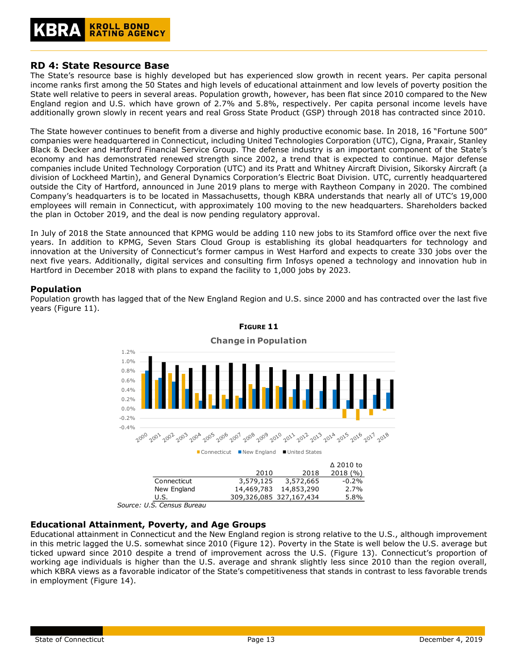

# **RD 4: State Resource Base**

The State's resource base is highly developed but has experienced slow growth in recent years. Per capita personal income ranks first among the 50 States and high levels of educational attainment and low levels of poverty position the State well relative to peers in several areas. Population growth, however, has been flat since 2010 compared to the New England region and U.S. which have grown of 2.7% and 5.8%, respectively. Per capita personal income levels have additionally grown slowly in recent years and real Gross State Product (GSP) through 2018 has contracted since 2010.

The State however continues to benefit from a diverse and highly productive economic base. In 2018, 16 "Fortune 500" companies were headquartered in Connecticut, including United Technologies Corporation (UTC), Cigna, Praxair, Stanley Black & Decker and Hartford Financial Service Group. The defense industry is an important component of the State's economy and has demonstrated renewed strength since 2002, a trend that is expected to continue. Major defense companies include United Technology Corporation (UTC) and its Pratt and Whitney Aircraft Division, Sikorsky Aircraft (a division of Lockheed Martin), and General Dynamics Corporation's Electric Boat Division. UTC, currently headquartered outside the City of Hartford, announced in June 2019 plans to merge with Raytheon Company in 2020. The combined Company's headquarters is to be located in Massachusetts, though KBRA understands that nearly all of UTC's 19,000 employees will remain in Connecticut, with approximately 100 moving to the new headquarters. Shareholders backed the plan in October 2019, and the deal is now pending regulatory approval.

In July of 2018 the State announced that KPMG would be adding 110 new jobs to its Stamford office over the next five years. In addition to KPMG, Seven Stars Cloud Group is establishing its global headquarters for technology and innovation at the University of Connecticut's former campus in West Harford and expects to create 330 jobs over the next five years. Additionally, digital services and consulting firm Infosys opened a technology and innovation hub in Hartford in December 2018 with plans to expand the facility to 1,000 jobs by 2023.

# **Population**

Population growth has lagged that of the New England Region and U.S. since 2000 and has contracted over the last five years (Figure 11).



**FIGURE 11**

*Source: U.S. Census Bureau*

# **Educational Attainment, Poverty, and Age Groups**

Educational attainment in Connecticut and the New England region is strong relative to the U.S., although improvement in this metric lagged the U.S. somewhat since 2010 (Figure 12). Poverty in the State is well below the U.S. average but ticked upward since 2010 despite a trend of improvement across the U.S. (Figure 13). Connecticut's proportion of working age individuals is higher than the U.S. average and shrank slightly less since 2010 than the region overall, which KBRA views as a favorable indicator of the State's competitiveness that stands in contrast to less favorable trends in employment (Figure 14).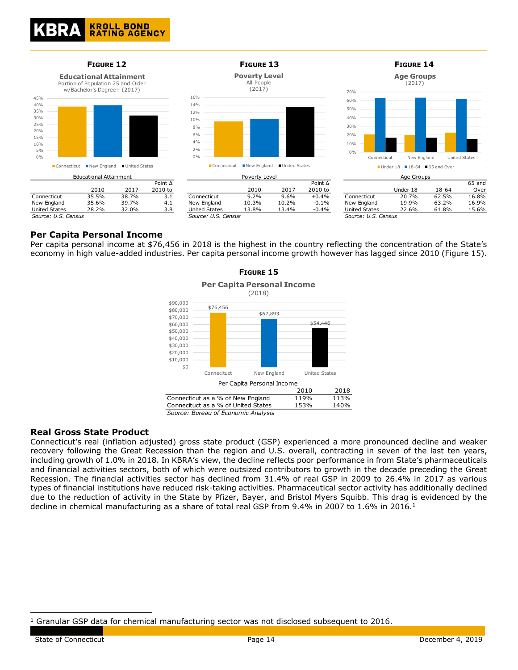







#### **Per Capita Personal Income**

Per capita personal income at \$76,456 in 2018 is the highest in the country reflecting the concentration of the State's economy in high value-added industries. Per capita personal income growth however has lagged since 2010 (Figure 15).



# **Real Gross State Product**

Connecticut's real (inflation adjusted) gross state product (GSP) experienced a more pronounced decline and weaker recovery following the Great Recession than the region and U.S. overall, contracting in seven of the last ten years, including growth of 1.0% in 2018. In KBRA's view, the decline reflects poor performance in from State's pharmaceuticals and financial activities sectors, both of which were outsized contributors to growth in the decade preceding the Great Recession. The financial activities sector has declined from 31.4% of real GSP in 2009 to 26.4% in 2017 as various types of financial institutions have reduced risk-taking activities. Pharmaceutical sector activity has additionally declined due to the reduction of activity in the State by Pfizer, Bayer, and Bristol Myers Squibb. This drag is evidenced by the decline in chemical manufacturing as a share of total real GSP from 9.4% in 2007 to 1.6% in 2016.<sup>1</sup>

<sup>1</sup> Granular GSP data for chemical manufacturing sector was not disclosed subsequent to 2016.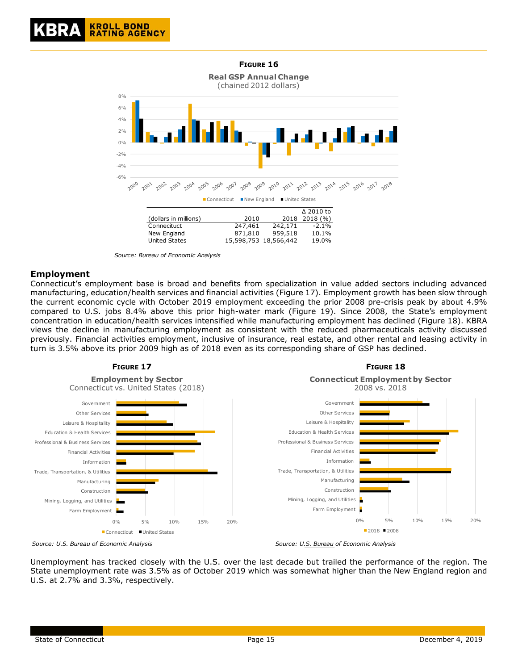

*Source: Bureau of Economic Analysis*

# **Employment**

Connecticut's employment base is broad and benefits from specialization in value added sectors including advanced manufacturing, education/health services and financial activities (Figure 17). Employment growth has been slow through the current economic cycle with October 2019 employment exceeding the prior 2008 pre-crisis peak by about 4.9% compared to U.S. jobs 8.4% above this prior high-water mark (Figure 19). Since 2008, the State's employment concentration in education/health services intensified while manufacturing employment has declined (Figure 18). KBRA views the decline in manufacturing employment as consistent with the reduced pharmaceuticals activity discussed previously. Financial activities employment, inclusive of insurance, real estate, and other rental and leasing activity in turn is 3.5% above its prior 2009 high as of 2018 even as its corresponding share of GSP has declined.







*Source: U.S. Bureau of Economic Analysis Source: U.S. Bureau of Economic Analysis*

Unemployment has tracked closely with the U.S. over the last decade but trailed the performance of the region. The State unemployment rate was 3.5% as of October 2019 which was somewhat higher than the New England region and U.S. at 2.7% and 3.3%, respectively.